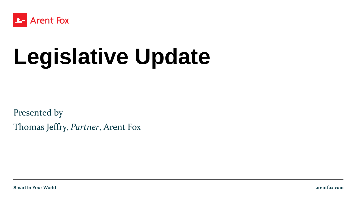

# **Legislative Update**

Presented by Thomas Jeffry, *Partner*, Arent Fox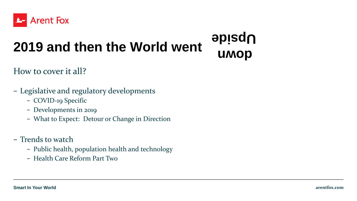

## **2019 and then the World went**

**down Upside**

How to cover it all?

- − Legislative and regulatory developments
	- − COVID-19 Specific
	- − Developments in 2019
	- − What to Expect: Detour or Change in Direction
- − Trends to watch
	- − Public health, population health and technology
	- − Health Care Reform Part Two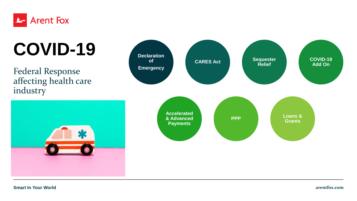

# COVID-19 **Declaration**

Federal Response affecting health care industry



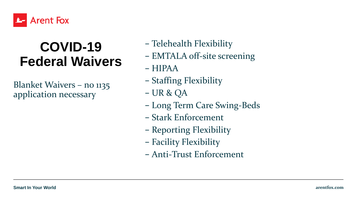

### **COVID-19 Federal Waivers**

Blanket Waivers – no 1135 application necessary

- − Telehealth Flexibility
- − EMTALA off-site screening
- − HIPAA
- − Staffing Flexibility
- − UR & QA
- − Long Term Care Swing-Beds
- − Stark Enforcement
- − Reporting Flexibility
- − Facility Flexibility
- − Anti-Trust Enforcement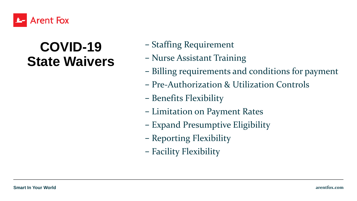

#### **COVID-19 State Waivers**

- − Staffing Requirement
- − Nurse Assistant Training
- − Billing requirements and conditions for payment
- − Pre-Authorization & Utilization Controls
- − Benefits Flexibility
- − Limitation on Payment Rates
- − Expand Presumptive Eligibility
- − Reporting Flexibility
- − Facility Flexibility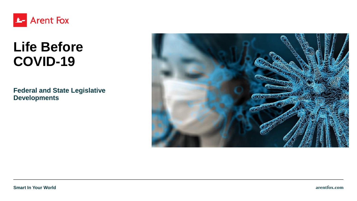

### **Life Before COVID-19**

**Federal and State Legislative Developments**

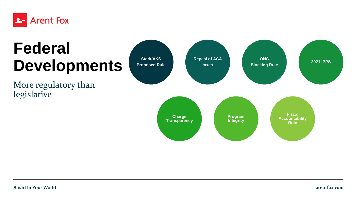

## **Federal Developments**

More regulatory than legislative

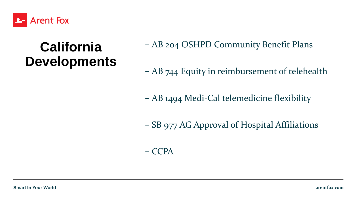

### **California Developments**

− AB 204 OSHPD Community Benefit Plans

− AB 744 Equity in reimbursement of telehealth

− AB 1494 Medi-Cal telemedicine flexibility

− SB 977 AG Approval of Hospital Affiliations

#### − CCPA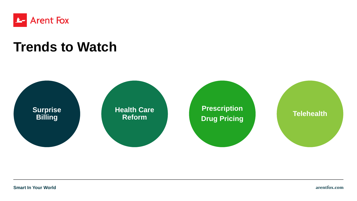

#### **Trends to Watch**

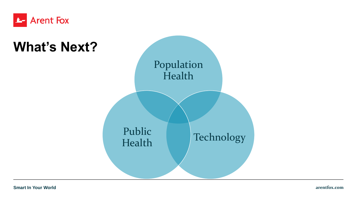

#### **What's Next?**

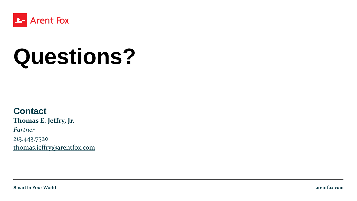

# **Questions?**

#### **Contact**

**Thomas E. Jeffry, Jr.**

*Partner*

213.443.7520 [thomas.jeffry@arentfox.com](mailto:Thomas.jeffry@arentfox.com)